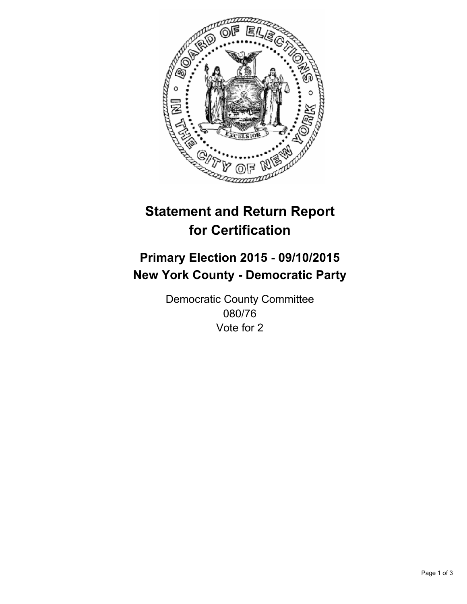

# **Statement and Return Report for Certification**

## **Primary Election 2015 - 09/10/2015 New York County - Democratic Party**

Democratic County Committee 080/76 Vote for 2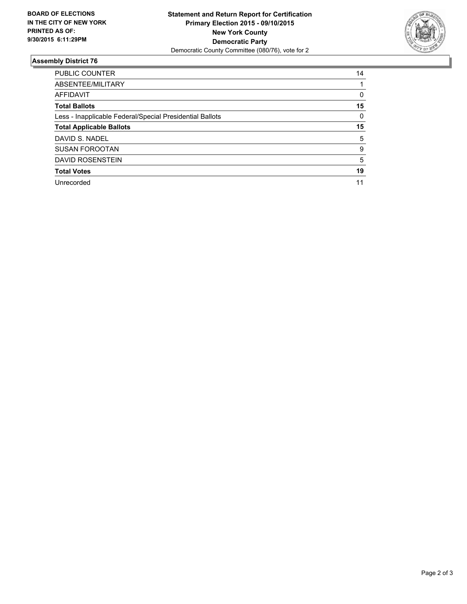

#### **Assembly District 76**

| <b>PUBLIC COUNTER</b>                                    | 14 |
|----------------------------------------------------------|----|
| ABSENTEE/MILITARY                                        |    |
| AFFIDAVIT                                                | 0  |
| <b>Total Ballots</b>                                     | 15 |
| Less - Inapplicable Federal/Special Presidential Ballots | 0  |
| <b>Total Applicable Ballots</b>                          | 15 |
| DAVID S. NADEL                                           | 5  |
| <b>SUSAN FOROOTAN</b>                                    | 9  |
| <b>DAVID ROSENSTEIN</b>                                  | 5  |
| <b>Total Votes</b>                                       | 19 |
| Unrecorded                                               | 11 |